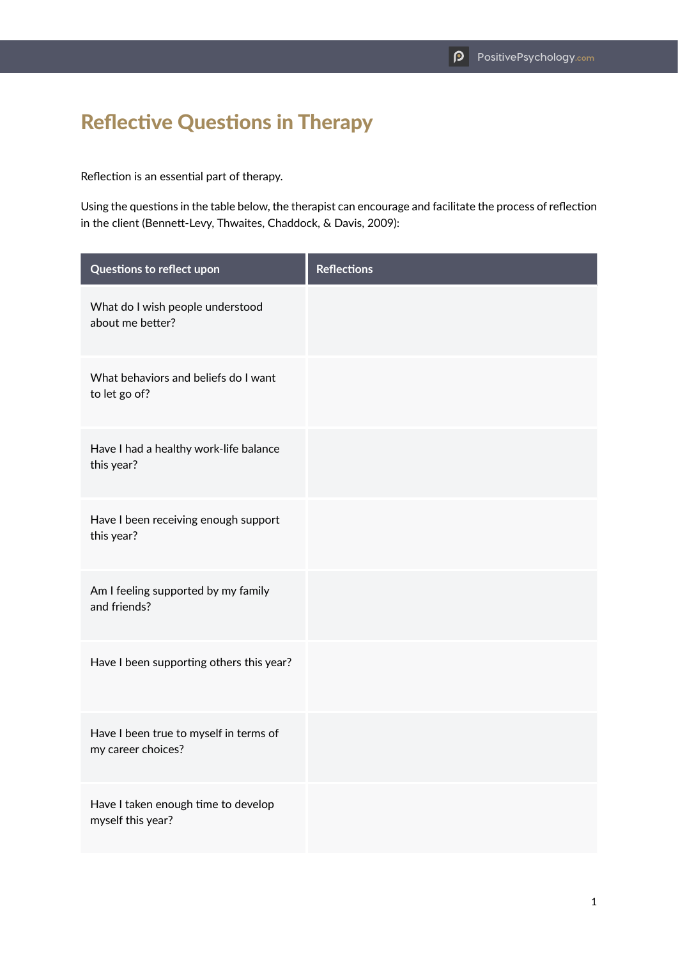## Reflective Questions in Therapy

Reflection is an essential part of therapy.

Using the questions in the table below, the therapist can encourage and facilitate the process of reflection in the client (Bennett-Levy, Thwaites, Chaddock, & Davis, 2009):

| Questions to reflect upon                                    | <b>Reflections</b> |
|--------------------------------------------------------------|--------------------|
| What do I wish people understood<br>about me better?         |                    |
| What behaviors and beliefs do I want<br>to let go of?        |                    |
| Have I had a healthy work-life balance<br>this year?         |                    |
| Have I been receiving enough support<br>this year?           |                    |
| Am I feeling supported by my family<br>and friends?          |                    |
| Have I been supporting others this year?                     |                    |
| Have I been true to myself in terms of<br>my career choices? |                    |
| Have I taken enough time to develop<br>myself this year?     |                    |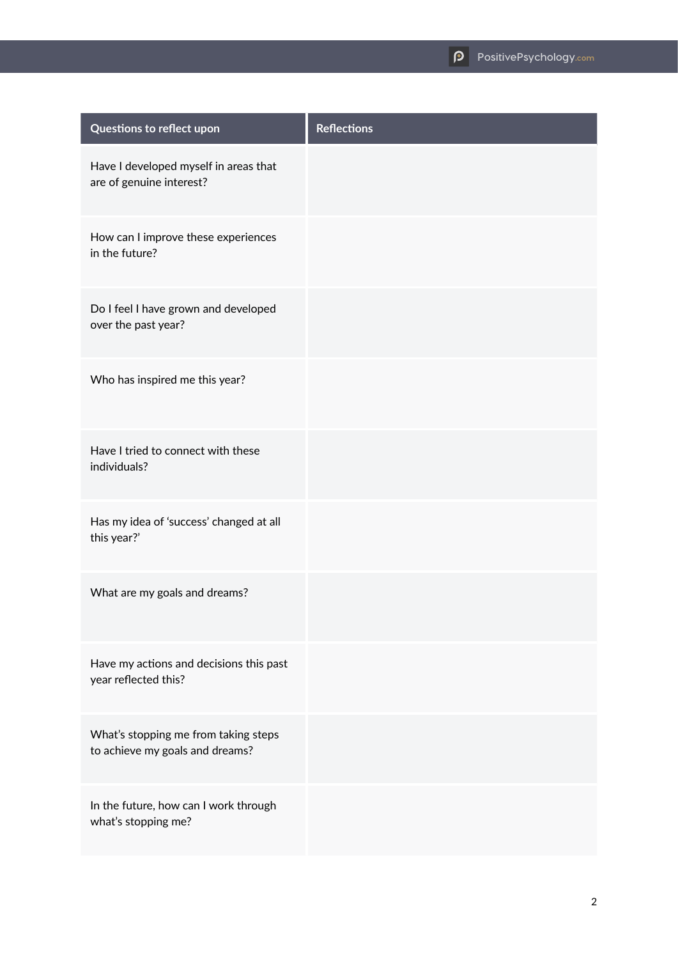| Questions to reflect upon                                               | <b>Reflections</b> |
|-------------------------------------------------------------------------|--------------------|
| Have I developed myself in areas that<br>are of genuine interest?       |                    |
| How can I improve these experiences<br>in the future?                   |                    |
| Do I feel I have grown and developed<br>over the past year?             |                    |
| Who has inspired me this year?                                          |                    |
| Have I tried to connect with these<br>individuals?                      |                    |
| Has my idea of 'success' changed at all<br>this year?'                  |                    |
| What are my goals and dreams?                                           |                    |
| Have my actions and decisions this past<br>year reflected this?         |                    |
| What's stopping me from taking steps<br>to achieve my goals and dreams? |                    |
| In the future, how can I work through<br>what's stopping me?            |                    |